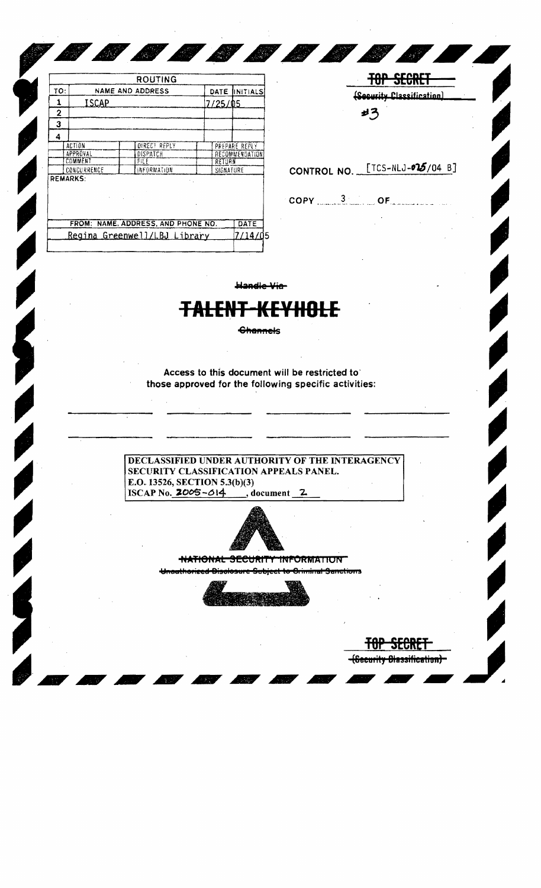|     |                 | <b>ROUTING</b>                     |               |                |  |
|-----|-----------------|------------------------------------|---------------|----------------|--|
| TO: |                 | NAME AND ADDRESS                   | DATE          | INITIALS       |  |
| 1   | ISCAP           |                                    | 7/25/05       |                |  |
| 2   |                 |                                    |               |                |  |
| 3   |                 |                                    |               |                |  |
| 4   |                 |                                    |               |                |  |
|     | <b>ACTION</b>   | <b>DIRECT REPLY</b>                |               | PREPARE REPLY  |  |
|     | APPROVAL        | DISPATCH                           |               | RECOMMENDATION |  |
|     | COMMENT         | FILE                               |               | RETURN         |  |
|     | CONCURRENCE     | INFORMATION                        |               | SIGNATURE      |  |
|     | <b>REMARKS:</b> | <b>Contract Contract</b>           | $\sim$ $\sim$ |                |  |
|     |                 | FROM: NAME, ADDRESS, AND PHONE NO. |               | DATE           |  |
|     |                 | Regina Greenwell/LBJ Library       |               | 7/14/05        |  |

TOP SECRET (Security Classification) #3

**TUP SECRET** (Security Diassification)

**AND** 

 $\frac{1}{4}$ 

CONTROL NO. [TCS-NLJ-025/04 B]

 $\mathsf{COPY}$  3 of  $\mathsf{OF}$ 

Handle Vie-

U O O O O O O O O

## <del>TALENT-KEYHOLE</del>

**Channels** 

Access to this document will be restricted to those approved for the following specific activities:

DECLASSIFIED UNDER AUTHORITY OF THE INTERAGENCY SECURITY CLASSIFICATION APPEALS PANEL. E.O. 13526, SECTION 5.3(b)(3) ISCAP No. 2005-014 document 2.



**NATIONAL SECURITY INFORMATION** 

<del>-Ariwinal Anneticum</del>

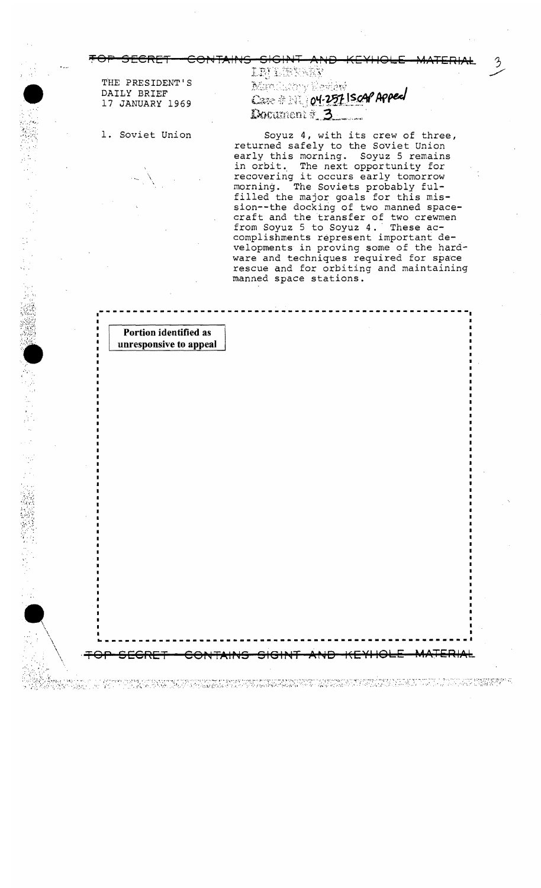LBJE (KREX THE PRESIDENT'S Mandusory Review DAILY BRIEF Case # 11 04.257 Iscar Appeal 17 JANUARY 1969 Document# 3

> Soyuz 4, with its crew of three, returned safely to the Soviet Union early this morning. Soyuz 5 remains in orbit. The next opportunity for recovering it occurs early tomorrow morning. The Soviets probably fulfilled the major goals for this mission--the docking of two manned spacecraft and the transfer of two crewmen from Soyuz 5 to Soyuz 4. These accomplishments represent important developments in proving some of the hardware and techniques required for space rescue and for orbiting and maintaining manned space stations.

## Portion identified as unresponsive to appeal

Maria Politika

「一個の意味を見る」を記す。

1. Soviet Union

무관의 정부는 정보 사람들과 소리 사람들

ation and their space.<br>Actually a space of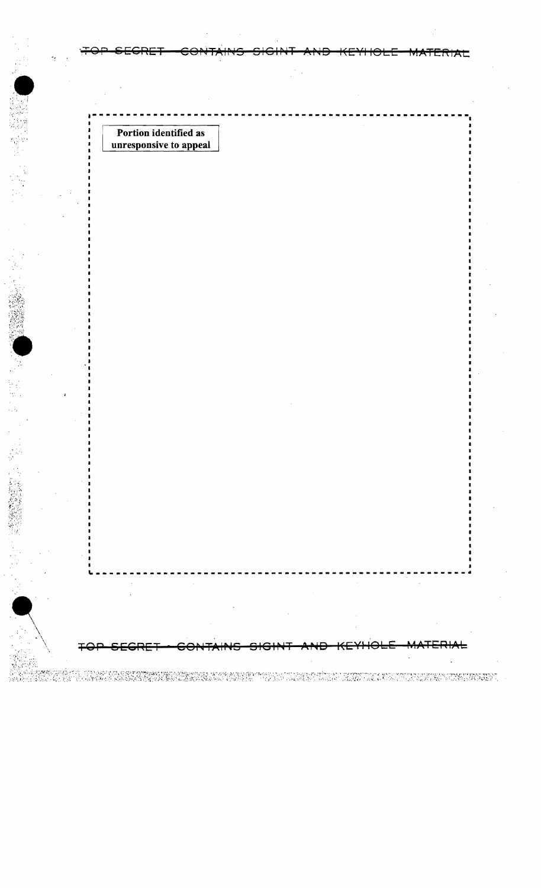Portion identified as unresponsive to appeal

2000年10月

∓

idagga under som en sagrangen moderne en en grendden som en sagrangen.<br>Digitalle forskrivelse ble blev av globen en syntetisk som en som en som utill all forskulle ander stegen til

RIAL

┶